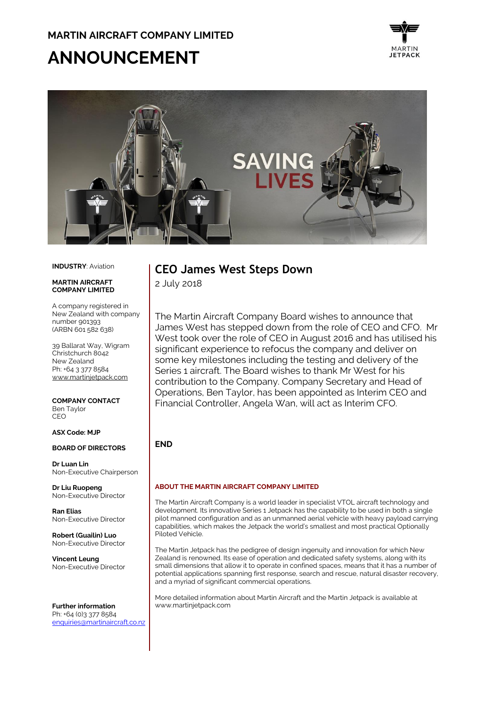# **ANNOUNCEMENT**





#### **INDUSTRY**: Aviation

#### **MADTIN AIDCDAFT COMPANY LIMITED**

A company registered in New Zealand with company number 901393 (ARBN 601 582 638)

39 Ballarat Way, Wigram Christchurch 8042 New Zealand Ph: +64 3 377 8584 [www.martinjetpack.com](http://www.martinjetpack.com/)

**COMPANY CONTACT** Ben Taylor CEO

#### **ASX Code: MJP**

#### **BOARD OF DIRECTORS**

**Dr Luan Lin** Non-Executive Chairperson

**Dr Liu Ruopeng**  Non-Executive Director

**Ran Elias** Non-Executive Director

**Robert (Guailin) Luo** Non-Executive Director

**Vincent Leung** Non-Executive Director

**Further information** Ph: +64 (0)3 377 8584 [enquiries@martinaircraft.co.nz](mailto:enquiries@martinaircraft.co.nz)

## **CEO James West Steps Down**

2 July 2018

The Martin Aircraft Company Board wishes to announce that James West has stepped down from the role of CEO and CFO. Mr West took over the role of CEO in August 2016 and has utilised his significant experience to refocus the company and deliver on some key milestones including the testing and delivery of the Series 1 aircraft. The Board wishes to thank Mr West for his contribution to the Company. Company Secretary and Head of Operations, Ben Taylor, has been appointed as Interim CEO and Financial Controller, Angela Wan, will act as Interim CFO.

### **END**

#### **ABOUT THE MARTIN AIRCRAFT COMPANY LIMITED**

The Martin Aircraft Company is a world leader in specialist VTOL aircraft technology and development. Its innovative Series 1 Jetpack has the capability to be used in both a single pilot manned configuration and as an unmanned aerial vehicle with heavy payload carrying capabilities, which makes the Jetpack the world's smallest and most practical Optionally Piloted Vehicle.

The Martin Jetpack has the pedigree of design ingenuity and innovation for which New Zealand is renowned. Its ease of operation and dedicated safety systems, along with its small dimensions that allow it to operate in confined spaces, means that it has a number of potential applications spanning first response, search and rescue, natural disaster recovery, and a myriad of significant commercial operations.

More detailed information about Martin Aircraft and the Martin Jetpack is available at www.martinjetpack.com